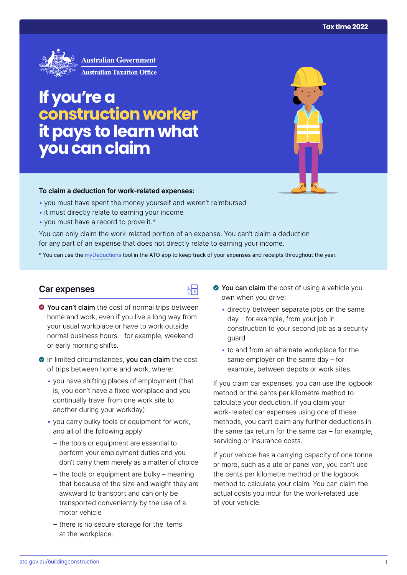

# **If you're a construction worker it pays to learn what you can claim**

### **To claim a deduction for work‑related expenses:**

- you must have spent the money yourself and weren't reimbursed
- it must directly relate to earning your income
- you must have a record to prove it.\*

You can only claim the work-related portion of an expense. You can't claim a deduction for any part of an expense that does not directly relate to earning your income.

\* You can use the [myDeductions](https://ato.gov.au/mydeductions) tool in the ATO app to keep track of your expenses and receipts throughout the year.

品

## **Car expenses**

- $\bullet$  You can't claim the cost of normal trips between home and work, even if you live a long way from your usual workplace or have to work outside normal business hours – for example, weekend or early morning shifts.
- In limited circumstances, you can claim the cost of trips between home and work, where:
	- you have shifting places of employment (that is, you don't have a fixed workplace and you continually travel from one work site to another during your workday)
	- you carry bulky tools or equipment for work, and all of the following apply
		- the tools or equipment are essential to perform your employment duties and you don't carry them merely as a matter of choice
		- the tools or equipment are bulky meaning that because of the size and weight they are awkward to transport and can only be transported conveniently by the use of a motor vehicle
		- there is no secure storage for the items at the workplace.
- You can claim the cost of using a vehicle you own when you drive:
	- directly between separate jobs on the same day – for example, from your job in construction to your second job as a security guard
	- to and from an alternate workplace for the same employer on the same day – for example, between depots or work sites.

If you claim car expenses, you can use the logbook method or the cents per kilometre method to calculate your deduction. If you claim your work-related car expenses using one of these methods, you can't claim any further deductions in the same tax return for the same car – for example, servicing or insurance costs.

If your vehicle has a carrying capacity of one tonne or more, such as a ute or panel van, you can't use the cents per kilometre method or the logbook method to calculate your claim. You can claim the actual costs you incur for the work-related use of your vehicle.